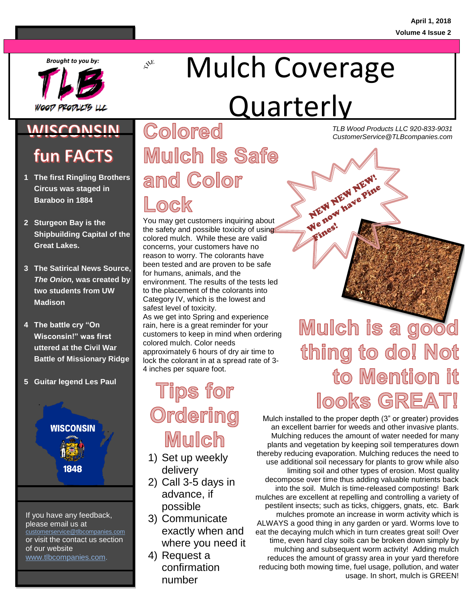$\mathcal{S}^{\mathbf{E}}$ 



# Mulch Coverage Quarterly

#### WOOD PRODUCTS LLC

#### **WISCONSIN fun FACTS**

- **1 The first Ringling Brothers Circus was staged in Baraboo in 1884**
- **2 Sturgeon Bay is the Shipbuilding Capital of the Great Lakes.**
- **3 The Satirical News Source,**  *The Onion,* **was created by two students from UW Madison**
- **4 The battle cry "On Wisconsin!" was first uttered at the Civil War Battle of Missionary Ridge**
- **5 Guitar legend Les Paul**



If you have any feedback, please email us at [customerservice@tlbcompanies.com](mailto:customerservice@tlbcompanies.com) or visit the contact us section of our website [www.tlbcompanies.com.](http://www.tlbcompanies.com/)

#### **TOT GUI Communication** CustomerService @TLBcompanies.com **Mulch Is Safe** and Color  $R$

You may get customers inquiring about the safety and possible toxicity of using colored mulch. While these are valid concerns, your customers have no reason to worry. The colorants have been tested and are proven to be safe for humans, animals, and the environment. The results of the tests led to the placement of the colorants into Category IV, which is the lowest and safest level of toxicity.

As we get into Spring and experience rain, here is a great reminder for your customers to keep in mind when ordering colored mulch. Color needs approximately 6 hours of dry air time to lock the colorant in at a spread rate of 3- 4 inches per square foot.

# Tips for Ordering Mulch

- 1) Set up weekly delivery
- 2) Call 3-5 days in advance, if possible
- 3) Communicate exactly when and where you need it
- 4) Request a confirmation number

*TLB Wood Products LLC 920-833-9031*

**PIEW HEW HERE** 

Ve nues!

Ne now have pine

# Mulch is a good thing to do! Not to Mention it looks GREAT!

Mulch installed to the proper depth (3" or greater) provides an excellent barrier for weeds and other invasive plants. Mulching reduces the amount of water needed for many plants and vegetation by keeping soil temperatures down thereby reducing evaporation. Mulching reduces the need to use additional soil necessary for plants to grow while also limiting soil and other types of erosion. Most quality decompose over time thus adding valuable nutrients back into the soil. Mulch is time-released composting! Bark mulches are excellent at repelling and controlling a variety of pestilent insects; such as ticks, chiggers, gnats, etc. Bark mulches promote an increase in worm activity which is ALWAYS a good thing in any garden or yard. Worms love to eat the decaying mulch which in turn creates great soil! Over time, even hard clay soils can be broken down simply by mulching and subsequent worm activity! Adding mulch reduces the amount of grassy area in your yard therefore reducing both mowing time, fuel usage, pollution, and water usage. In short, mulch is GREEN!

*Brought to you by:*